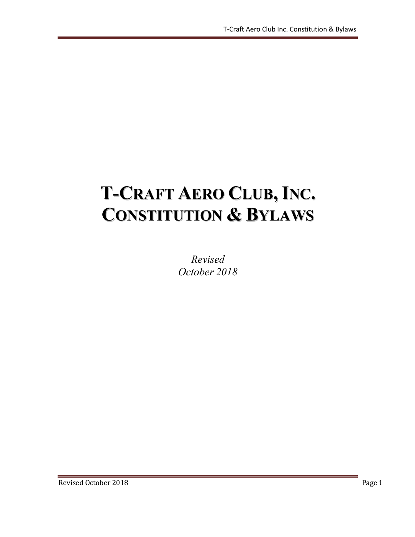# **T-CRAFT AERO CLUB,INC. CONSTITUTION & BYLAWS**

*Revised October 2018*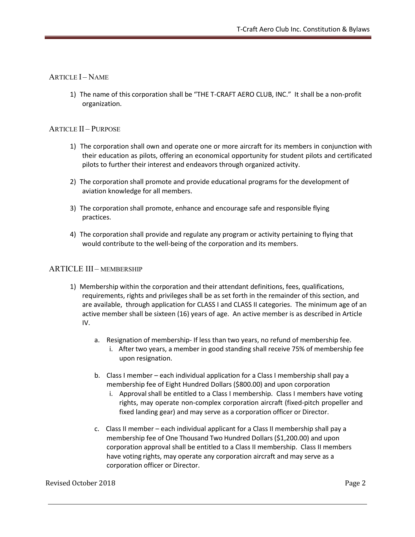# ARTICLE **I** – NAME

1) The name of this corporation shall be "THE T-CRAFT AERO CLUB, INC." It shall be a non-profit organization.

# ARTICLE II – PURPOSE

- 1) The corporation shall own and operate one or more aircraft for its members in conjunction with their education as pilots, offering an economical opportunity for student pilots and certificated pilots to further their interest and endeavors through organized activity.
- 2) The corporation shall promote and provide educational programs for the development of aviation knowledge for all members.
- 3) The corporation shall promote, enhance and encourage safe and responsible flying practices.
- 4) The corporation shall provide and regulate any program or activity pertaining to flying that would contribute to the well-being of the corporation and its members.

# ARTICLE III – MEMBERSHIP

- 1) Membership within the corporation and their attendant definitions, fees, qualifications, requirements, rights and privileges shall be as set forth in the remainder of this section, and are available, through application for CLASS I and CLASS II categories. The minimum age of an active member shall be sixteen (16) years of age. An active member is as described in Article IV.
	- a. Resignation of membership- If less than two years, no refund of membership fee.
		- i. After two years, a member in good standing shall receive 75% of membership fee upon resignation.
	- b. Class I member each individual application for a Class I membership shall pay a membership fee of Eight Hundred Dollars (\$800.00) and upon corporation
		- i. Approval shall be entitled to a Class I membership. Class I members have voting rights, may operate non-complex corporation aircraft (fixed-pitch propeller and fixed landing gear) and may serve as a corporation officer or Director.
	- c. Class II member each individual applicant for a Class II membership shall pay a membership fee of One Thousand Two Hundred Dollars (\$1,200.00) and upon corporation approval shall be entitled to a Class II membership. Class II members have voting rights, may operate any corporation aircraft and may serve as a corporation officer or Director.

## Revised October 2018 Page 2 and the state of the state of the state of the state of the state of the state of the state of the state of the state of the state of the state of the state of the state of the state of the stat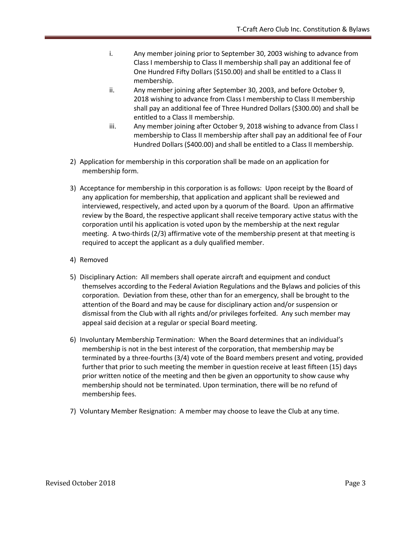- i. Any member joining prior to September 30, 2003 wishing to advance from Class I membership to Class II membership shall pay an additional fee of One Hundred Fifty Dollars (\$150.00) and shall be entitled to a Class II membership.
- ii. Any member joining after September 30, 2003, and before October 9, 2018 wishing to advance from Class I membership to Class II membership shall pay an additional fee of Three Hundred Dollars (\$300.00) and shall be entitled to a Class II membership.
- iii. Any member joining after October 9, 2018 wishing to advance from Class I membership to Class II membership after shall pay an additional fee of Four Hundred Dollars (\$400.00) and shall be entitled to a Class II membership.
- 2) Application for membership in this corporation shall be made on an application for membership form.
- 3) Acceptance for membership in this corporation is as follows: Upon receipt by the Board of any application for membership, that application and applicant shall be reviewed and interviewed, respectively, and acted upon by a quorum of the Board. Upon an affirmative review by the Board, the respective applicant shall receive temporary active status with the corporation until his application is voted upon by the membership at the next regular meeting. A two-thirds (2/3) affirmative vote of the membership present at that meeting is required to accept the applicant as a duly qualified member.
- 4) Removed
- 5) Disciplinary Action: All members shall operate aircraft and equipment and conduct themselves according to the Federal Aviation Regulations and the Bylaws and policies of this corporation. Deviation from these, other than for an emergency, shall be brought to the attention of the Board and may be cause for disciplinary action and/or suspension or dismissal from the Club with all rights and/or privileges forfeited. Any such member may appeal said decision at a regular or special Board meeting.
- 6) Involuntary Membership Termination: When the Board determines that an individual's membership is not in the best interest of the corporation, that membership may be terminated by a three-fourths (3/4) vote of the Board members present and voting, provided further that prior to such meeting the member in question receive at least fifteen (15) days prior written notice of the meeting and then be given an opportunity to show cause why membership should not be terminated. Upon termination, there will be no refund of membership fees.
- 7) Voluntary Member Resignation: A member may choose to leave the Club at any time.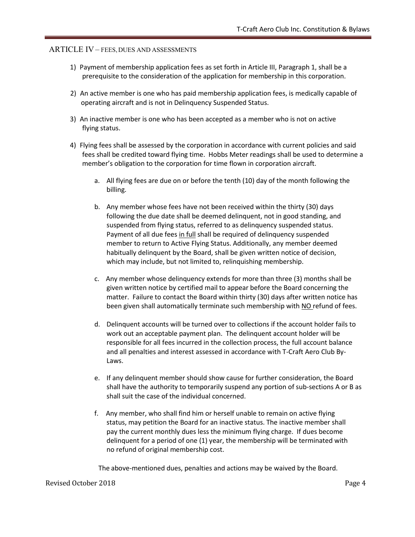#### ARTICLE IV – FEES, DUES AND ASSESSMENTS

- 1) Payment of membership application fees as set forth in Article III, Paragraph 1, shall be a prerequisite to the consideration of the application for membership in this corporation.
- 2) An active member is one who has paid membership application fees, is medically capable of operating aircraft and is not in Delinquency Suspended Status.
- 3) An inactive member is one who has been accepted as a member who is not on active flying status.
- 4) Flying fees shall be assessed by the corporation in accordance with current policies and said fees shall be credited toward flying time. Hobbs Meter readings shall be used to determine a member's obligation to the corporation for time flown in corporation aircraft.
	- a. All flying fees are due on or before the tenth (10) day of the month following the billing.
	- b. Any member whose fees have not been received within the thirty (30) days following the due date shall be deemed delinquent, not in good standing, and suspended from flying status, referred to as delinquency suspended status. Payment of all due fees in full shall be required of delinquency suspended member to return to Active Flying Status. Additionally, any member deemed habitually delinquent by the Board, shall be given written notice of decision, which may include, but not limited to, relinquishing membership.
	- c. Any member whose delinquency extends for more than three (3) months shall be given written notice by certified mail to appear before the Board concerning the matter. Failure to contact the Board within thirty (30) days after written notice has been given shall automatically terminate such membership with NO refund of fees.
	- d. Delinquent accounts will be turned over to collections if the account holder fails to work out an acceptable payment plan. The delinquent account holder will be responsible for all fees incurred in the collection process, the full account balance and all penalties and interest assessed in accordance with T-Craft Aero Club By-Laws.
	- e. If any delinquent member should show cause for further consideration, the Board shall have the authority to temporarily suspend any portion of sub-sections A or B as shall suit the case of the individual concerned.
	- f. Any member, who shall find him or herself unable to remain on active flying status, may petition the Board for an inactive status. The inactive member shall pay the current monthly dues less the minimum flying charge. If dues become delinquent for a period of one (1) year, the membership will be terminated with no refund of original membership cost.

The above-mentioned dues, penalties and actions may be waived by the Board.

#### Revised October 2018 Page 4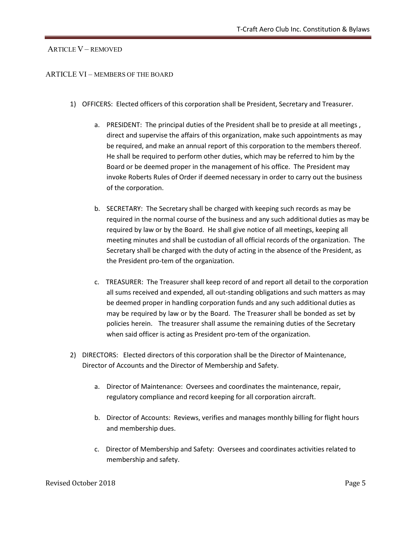# ARTICLE V – REMOVED

## ARTICLE VI – MEMBERS OF THE BOARD

- 1) OFFICERS: Elected officers of this corporation shall be President, Secretary and Treasurer.
	- a. PRESIDENT: The principal duties of the President shall be to preside at all meetings , direct and supervise the affairs of this organization, make such appointments as may be required, and make an annual report of this corporation to the members thereof. He shall be required to perform other duties, which may be referred to him by the Board or be deemed proper in the management of his office. The President may invoke Roberts Rules of Order if deemed necessary in order to carry out the business of the corporation.
	- b. SECRETARY: The Secretary shall be charged with keeping such records as may be required in the normal course of the business and any such additional duties as may be required by law or by the Board. He shall give notice of all meetings, keeping all meeting minutes and shall be custodian of all official records of the organization. The Secretary shall be charged with the duty of acting in the absence of the President, as the President pro-tem of the organization.
	- c. TREASURER: The Treasurer shall keep record of and report all detail to the corporation all sums received and expended, all out-standing obligations and such matters as may be deemed proper in handling corporation funds and any such additional duties as may be required by law or by the Board. The Treasurer shall be bonded as set by policies herein. The treasurer shall assume the remaining duties of the Secretary when said officer is acting as President pro-tem of the organization.
- 2) DIRECTORS: Elected directors of this corporation shall be the Director of Maintenance, Director of Accounts and the Director of Membership and Safety.
	- a. Director of Maintenance: Oversees and coordinates the maintenance, repair, regulatory compliance and record keeping for all corporation aircraft.
	- b. Director of Accounts: Reviews, verifies and manages monthly billing for flight hours and membership dues.
	- c. Director of Membership and Safety: Oversees and coordinates activities related to membership and safety.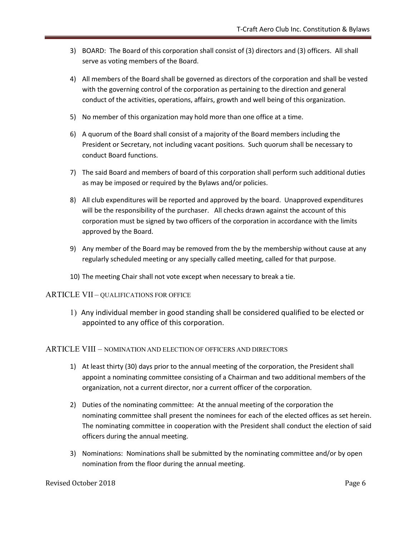- 3) BOARD: The Board of this corporation shall consist of (3) directors and (3) officers. All shall serve as voting members of the Board.
- 4) All members of the Board shall be governed as directors of the corporation and shall be vested with the governing control of the corporation as pertaining to the direction and general conduct of the activities, operations, affairs, growth and well being of this organization.
- 5) No member of this organization may hold more than one office at a time.
- 6) A quorum of the Board shall consist of a majority of the Board members including the President or Secretary, not including vacant positions. Such quorum shall be necessary to conduct Board functions.
- 7) The said Board and members of board of this corporation shall perform such additional duties as may be imposed or required by the Bylaws and/or policies.
- 8) All club expenditures will be reported and approved by the board. Unapproved expenditures will be the responsibility of the purchaser. All checks drawn against the account of this corporation must be signed by two officers of the corporation in accordance with the limits approved by the Board.
- 9) Any member of the Board may be removed from the by the membership without cause at any regularly scheduled meeting or any specially called meeting, called for that purpose.
- 10) The meeting Chair shall not vote except when necessary to break a tie.

#### ARTICLE VII – QUALIFICATIONS FOR OFFICE

1) Any individual member in good standing shall be considered qualified to be elected or appointed to any office of this corporation.

#### ARTICLE VIII – NOMINATION AND ELECTION OF OFFICERS AND DIRECTORS

- 1) At least thirty (30) days prior to the annual meeting of the corporation, the President shall appoint a nominating committee consisting of a Chairman and two additional members of the organization, not a current director, nor a current officer of the corporation.
- 2) Duties of the nominating committee: At the annual meeting of the corporation the nominating committee shall present the nominees for each of the elected offices as set herein. The nominating committee in cooperation with the President shall conduct the election of said officers during the annual meeting.
- 3) Nominations: Nominations shall be submitted by the nominating committee and/or by open nomination from the floor during the annual meeting.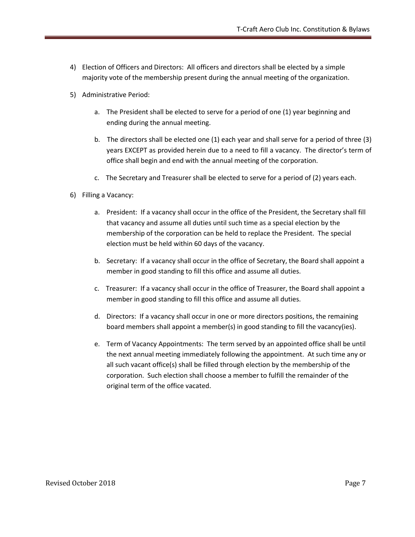- 4) Election of Officers and Directors: All officers and directors shall be elected by a simple majority vote of the membership present during the annual meeting of the organization.
- 5) Administrative Period:
	- a. The President shall be elected to serve for a period of one (1) year beginning and ending during the annual meeting.
	- b. The directors shall be elected one (1) each year and shall serve for a period of three (3) years EXCEPT as provided herein due to a need to fill a vacancy. The director's term of office shall begin and end with the annual meeting of the corporation.
	- c. The Secretary and Treasurer shall be elected to serve for a period of (2) years each.
- 6) Filling a Vacancy:
	- a. President: If a vacancy shall occur in the office of the President, the Secretary shall fill that vacancy and assume all duties until such time as a special election by the membership of the corporation can be held to replace the President. The special election must be held within 60 days of the vacancy.
	- b. Secretary: If a vacancy shall occur in the office of Secretary, the Board shall appoint a member in good standing to fill this office and assume all duties.
	- c. Treasurer: If a vacancy shall occur in the office of Treasurer, the Board shall appoint a member in good standing to fill this office and assume all duties.
	- d. Directors: If a vacancy shall occur in one or more directors positions, the remaining board members shall appoint a member(s) in good standing to fill the vacancy(ies).
	- e. Term of Vacancy Appointments: The term served by an appointed office shall be until the next annual meeting immediately following the appointment. At such time any or all such vacant office(s) shall be filled through election by the membership of the corporation. Such election shall choose a member to fulfill the remainder of the original term of the office vacated.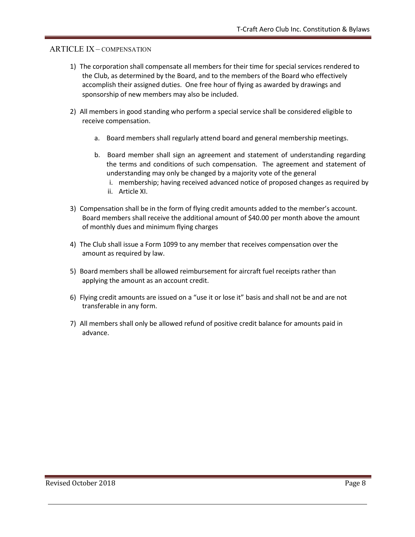# ARTICLE IX – COMPENSATION

- 1) The corporation shall compensate all members for their time for special services rendered to the Club, as determined by the Board, and to the members of the Board who effectively accomplish their assigned duties. One free hour of flying as awarded by drawings and sponsorship of new members may also be included.
- 2) All members in good standing who perform a special service shall be considered eligible to receive compensation.
	- a. Board members shall regularly attend board and general membership meetings.
	- b. Board member shall sign an agreement and statement of understanding regarding the terms and conditions of such compensation. The agreement and statement of understanding may only be changed by a majority vote of the general
		- i. membership; having received advanced notice of proposed changes as required by
		- ii. Article XI.
- 3) Compensation shall be in the form of flying credit amounts added to the member's account. Board members shall receive the additional amount of \$40.00 per month above the amount of monthly dues and minimum flying charges
- 4) The Club shall issue a Form 1099 to any member that receives compensation over the amount as required by law.
- 5) Board members shall be allowed reimbursement for aircraft fuel receipts rather than applying the amount as an account credit.
- 6) Flying credit amounts are issued on a "use it or lose it" basis and shall not be and are not transferable in any form.
- 7) All members shall only be allowed refund of positive credit balance for amounts paid in advance.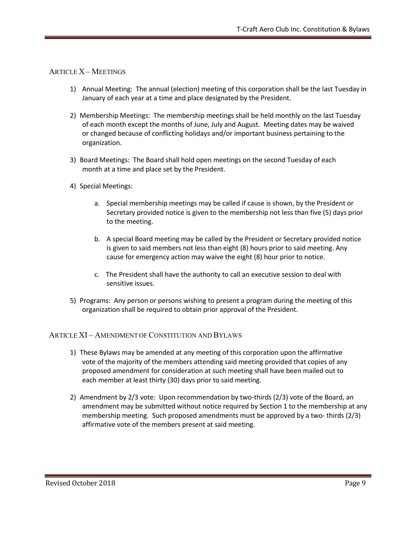# ARTICLE X – MEETINGS

- 1) Annual Meeting: The annual (election) meeting of this corporation shall be the last Tuesday in January of each year at a time and place designated by the President.
- 2) Membership Meetings: The membership meetings shall be held monthly on the last Tuesday of each month except the months of June, July and August. Meeting dates may be waived or changed because of conflicting holidays and/or important business pertaining to the organization.
- 3) Board Meetings: The Board shall hold open meetings on the second Tuesday of each month at a time and place set by the President.
- 4) Special Meetings:
	- a. Special membership meetings may be called if cause is shown, by the President or Secretary provided notice is given to the membership not less than five (5) days prior to the meeting.
	- b. A special Board meeting may be called by the President or Secretary provided notice is given to said members not less than eight (8) hours prior to said meeting. Any cause for emergency action may waive the eight (8) hour prior to notice.
	- c. The President shall have the authority to call an executive session to deal with sensitive issues.
- 5) Programs: Any person or persons wishing to present a program during the meeting of this organization shall be required to obtain prior approval of the President.

# ARTICLE XI – AMENDMENT OF CONSTITUTION AND BYLAWS

- 1) These Bylaws may be amended at any meeting of this corporation upon the affirmative vote of the majority of the members attending said meeting provided that copies of any proposed amendment for consideration at such meeting shall have been mailed out to each member at least thirty (30) days prior to said meeting.
- 2) Amendment by 2/3 vote: Upon recommendation by two-thirds (2/3) vote of the Board, an amendment may be submitted without notice required by Section 1 to the membership at any membership meeting. Such proposed amendments must be approved by a two- thirds (2/3) affirmative vote of the members present at said meeting.